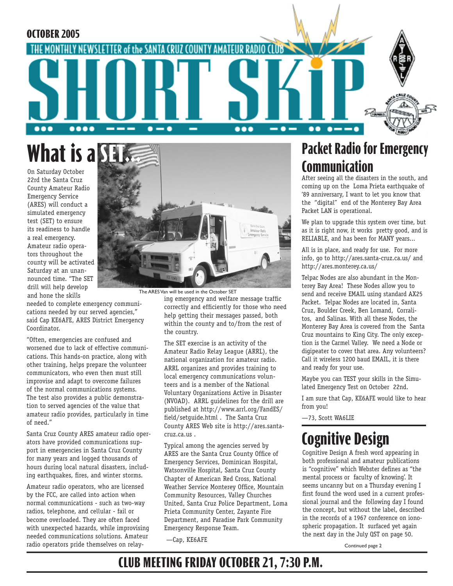

**What is a SET** 

On Saturday October 22rd the Santa Cruz County Amateur Radio Emergency Service (ARES) will conduct a simulated emergency test (SET) to ensure its readiness to handle a real emergency. Amateur radio operators throughout the county will be activated Saturday at an unannounced time. "The SET drill will help develop

needed to complete emergency communications needed by our served agencies," said Cap KE6AFE, ARES District Emergency Coordinator.

"Often, emergencies are confused and worsened due to lack of effective communications. This hands-on practice, along with other training, helps prepare the volunteer communicators, who even then must still improvise and adapt to overcome failures of the normal communications systems. The test also provides a public demonstration to served agencies of the value that amateur radio provides, particularly in time of need."

Santa Cruz County ARES amateur radio operators have provided communications support in emergencies in Santa Cruz County for many years and logged thousands of hours during local natural disasters, including earthquakes, fires, and winter storms.

Amateur radio operators, who are licensed by the FCC, are called into action when normal communications - such as two-way radios, telephone, and cellular - fail or become overloaded. They are often faced with unexpected hazards, while improvising needed communications solutions. Amateur radio operators pride themselves on relay-



and hone the skills in the skills ing emergency and welfare message traffic correctly and efficiently for those who need help getting their messages passed, both within the county and to/from the rest of the country. The ARES Van will be used in the October SET

> The SET exercise is an activity of the Amateur Radio Relay League (ARRL), the national organization for amateur radio. ARRL organizes and provides training to local emergency communications volunteers and is a member of the National Voluntary Organizations Active in Disaster (NVOAD). ARRL guidelines for the drill are published at http://www.arrl.org/FandES/ field/setguide.html . The Santa Cruz County ARES Web site is http://ares.santacruz.ca.us .

Typical among the agencies served by ARES are the Santa Cruz County Office of Emergency Services, Dominican Hospital, Watsonville Hospital, Santa Cruz County Chapter of American Red Cross, National Weather Service Monterey Office, Mountain Community Resources, Valley Churches United, Santa Cruz Police Department, Loma Prieta Community Center, Zayante Fire Department, and Paradise Park Community Emergency Response Team.

—Cap, KE6AFE

#### **Packet Radio for Emergency Communication**

After seeing all the disasters in the south, and coming up on the Loma Prieta earthquake of '89 anniversary, I want to let you know that the "digital" end of the Monterey Bay Area Packet LAN is operational.

We plan to upgrade this system over time, but as it is right now, it works pretty good, and is RELIABLE, and has been for MANY years...

All is in place, and ready for use. For more info, go to http://ares.santa-cruz.ca.us/ and http://ares.monterey.ca.us/

Telpac Nodes are also abundant in the Monterey Bay Area! These Nodes allow you to send and receive EMAIL using standard AX25 Packet. Telpac Nodes are located in, Santa Cruz, Boulder Creek, Ben Lomand, Corralitos, and Salinas. With all these Nodes, the Monterey Bay Area is covered from the Santa Cruz mountains to King City. The only exception is the Carmel Valley. We need a Node or digipeater to cover that area. Any volunteers? Call it wireless 1200 baud EMAIL, it is there and ready for your use.

Maybe you can TEST your skills in the Simulated Emergency Test on October 22nd.

I am sure that Cap, KE6AFE would like to hear from you!

—73, Scott WA6LIE

## **Cognitive Design**

Cognitive Design A fresh word appearing in both professional and amateur publications is "cognitive" which Webster defines as "the mental process or faculty of knowing'. It seems uncanny but on a Thursday evening I first found the word used in a current professional journal and the following day I found the concept, but without the label, described in the records of a 1967 conference on ionospheric propagation. It surfaced yet again the next day in the July QST on page 50.

Continued page 2

#### **CLUB MEETING FRIDAY OCTOBER 21, 7:30 P.M.**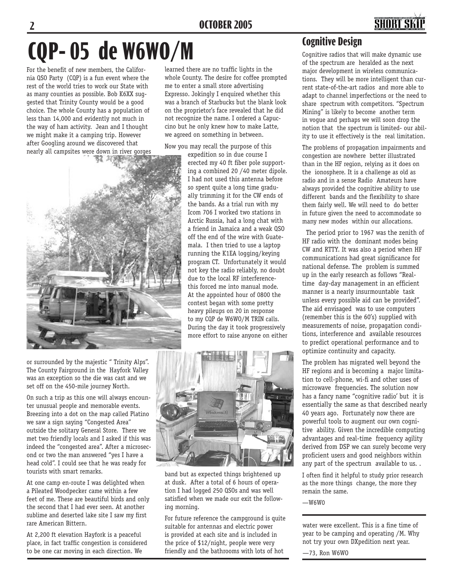# **CQP- 05 de W6WO/M**

For the benefit of new members, the California QSO Party (CQP) is a fun event where the rest of the world tries to work our State with as many counties as possible. Bob K6XX suggested that Trinity County would be a good choice. The whole County has a population of less than 14,000 and evidently not much in the way of ham activity. Jean and I thought we might make it a camping trip. However after Googling around we discovered that nearly all campsites were down in river gorges

**2**



or surrounded by the majestic " Trinity Alps". The County Fairground in the Hayfork Valley was an exception so the die was cast and we set off on the 450-mile journey North.

On such a trip as this one will always encounter unusual people and memorable events. Breezing into a dot on the map called Platino we saw a sign saying "Congested Area" outside the solitary General Store. There we met two friendly locals and I asked if this was indeed the "congested area". After a microsecond or two the man answered "yes I have a head cold". I could see that he was ready for tourists with smart remarks.

At one camp en-route I was delighted when a Pileated Woodpecker came within a few feet of me. These are beautiful birds and only the second that I had ever seen. At another sublime and deserted lake site I saw my first rare American Bittern.

At 2,200 ft elevation Hayfork is a peaceful place, in fact traffic congestion is considered to be one car moving in each direction. We

learned there are no traffic lights in the whole County. The desire for coffee prompted me to enter a small store advertising Expresso. Jokingly I enquired whether this was a branch of Starbucks but the blank look on the proprietor's face revealed that he did not recognize the name. I ordered a Capuccino but he only knew how to make Latte, we agreed on something in between.

Now you may recall the purpose of this

expedition so in due course I erected my 40 ft fiber pole supporting a combined 20 /40 meter dipole. I had not used this antenna before so spent quite a long time gradually trimming it for the CW ends of the bands. As a trial run with my Icom 706 I worked two stations in Arctic Russia, had a long chat with a friend in Jamaica and a weak QSO off the end of the wire with Guatemala. I then tried to use a laptop running the K1EA logging/keying program CT. Unfortunately it would not key the radio reliably, no doubt due to the local RF interferencethis forced me into manual mode. At the appointed hour of 0800 the contest began with some pretty heavy pileups on 20 in response to my CQP de W6WO/M TRIN calls. During the day it took progressively more effort to raise anyone on either

![](_page_1_Picture_12.jpeg)

band but as expected things brightened up at dusk. After a total of 6 hours of operation I had logged 250 QSOs and was well satisfied when we made our exit the following morning.

For future reference the campground is quite suitable for antennas and electric power is provided at each site and is included in the price of \$12/night, people were very friendly and the bathrooms with lots of hot

#### **Cognitive Design**

Cognitive radios that will make dynamic use of the spectrum are heralded as the next major development in wireless communications. They will be more intelligent than current state-of-the-art radios and more able to adapt to channel imperfections or the need to share spectrum with competitors. "Spectrum Mining" is likely to become another term in vogue and perhaps we will soon drop the notion that the spectrum is limited- our ability to use it effectively is the real limitation.

The problems of propagation impairments and congestion are nowhere better illustrated than in the HF region, relying as it does on the ionosphere. It is a challenge as old as radio and in a sense Radio Amateurs have always provided the cognitive ability to use different bands and the flexibility to share them fairly well. We will need to do better in future given the need to accommodate so many new modes within our allocations.

 The period prior to 1967 was the zenith of HF radio with the dominant modes being CW and RTTY. It was also a period when HF communications had great significance for national defense. The problem is summed up in the early research as follows "Realtime day-day management in an efficient manner is a nearly insurmountable task unless every possible aid can be provided". The aid envisaged was to use computers (remember this is the 60's) supplied with measurements of noise, propagation conditions, interference and available resources to predict operational performance and to optimize continuity and capacity.

The problem has migrated well beyond the HF regions and is becoming a major limitation to cell-phone, wi-fi and other uses of microwave frequencies. The solution now has a fancy name "cognitive radio' but it is essentially the same as that described nearly 40 years ago. Fortunately now there are powerful tools to augment our own cognitive ability. Given the incredible computing advantages and real-time frequency agility derived from DSP we can surely become very proficient users and good neighbors within any part of the spectrum available to us. .

I often find it helpful to study prior research as the more things change, the more they remain the same.

 $-W6WO$ 

water were excellent. This is a fine time of year to be camping and operating /M. Why not try your own DXpedition next year.

—73, Ron W6WO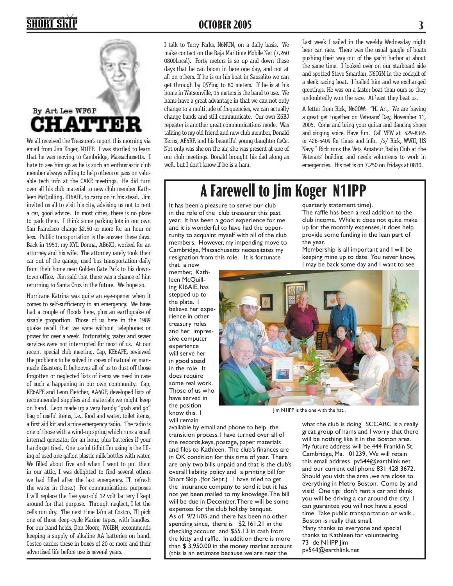## **SHORT SKI**

![](_page_2_Picture_1.jpeg)

We all received the Treasurer's report this morning via email from Jim Koger, N1IPP. I was startled to learn that he was moving to Cambridge, Massachusetts. I hate to see him go as he is such an enthusiastic club member always willing to help others or pass on valuable tech info at the CAKE meetings. He did turn over all his club material to new club member Kathleen McQuilling, KI6AIE, to carry on in his stead. Jim invited us all to visit his city, advising us not to rent a car, good advice. In most cities, there is no place to park them. I think some parking lots in our own San Francisco charge \$2.50 or more for an hour or less. Public transportation is the answer these days. Back in 1951, my XYL Donna, AB6XJ, worked for an attorney and his wife. The attorney rarely took their car out of the garage, used bus transportation daily from their home near Golden Gate Park to his downtown office. Jim said that there was a chance of him returning to Santa Cruz in the future. We hope so.

Hurricane Katrina was quite an eye-opener when it comes to self-sufficiency in an emergency. We have had a couple of floods here, plus an earthquake of sizable proportion. Those of us here in the 1989 quake recall that we were without telephones or power for over a week. Fortunately, water and sewer services were not interrupted for most of us. At our recent special club meeting, Cap, KE6AFE, reviewed the problems to be solved in cases of natural or manmade disasters. It behooves all of us to dust off those forgotten or neglected lists of items we need in case of such a happening in our own community. Cap, KE6AFE and Leon Fletcher, AA6GP, developed lists of recommended supplies and materials we might keep on hand. Leon made up a very handy "grab and go" bag of useful items, i.e., food and water, toilet items, a first aid kit and a nice emergency radio. The radio is one of those with a wind-up spring which runs a small internal generator for an hour, plus batteries if your hands get tired. One useful tidbit I'm using is the filling of used one gallon plastic milk bottles with water. We filled about five and when I went to put them in our attic, I was delighted to find several others we had filled after the last emergency. I'll refresh the water in those.) For communications purposes I will replace the five year-old 12 volt battery I kept around for that purpose. Through neglect, I let the cells run dry. The next time Iâ'm at Costco, I'll pick one of those deep-cycle Marine types, with handles. For our hand helds, Don Moore, W6IBN, recommends keeping a supply of alkaline AA batteries on hand. Costco carries these in boxes of 20 or more and their advertised life before use is several years.

I talk to Terry Parks, N6NUN, on a daily basis. We make contact on the Baja Maritime Mobile Net (7.260 0800Local). Forty meters is so up and down these days that he can boom in here one day, and not at all on others. If he is on his boat in Sausalito we can get through by QSYing to 80 meters. If he is at his home in Watsonville, 15 meters is the band to use. We hams have a great advantage in that we can not only change to a multitude of frequencies, we can actually change bands and still communicate. Our own K6BJ repeater is another great communications mode. Was talking to my old friend and new club member, Donald Kerns, AE6RF, and his beautiful young daughter CeCe. Not only was she on the air, she was present at one of our club meetings. Donald brought his dad along as well, but I don't know if he is a ham.

Last week I sailed in the weekly Wednesday night beer can race. There was the usual gaggle of boats pushing their way out of the yacht harbor at about the same time. I looked over on our starboard side and spotted Steve Smardan, N6TGM in the cockpit of a sleek racing boat. I hailed him and we exchanged greetings. He was on a faster boat than ours so they undoubtedly won the race. At least they beat us.

A letter from Rick, N6GOW: "Hi Art, We are having a great get together on Veterans' Day, November 11, 2005. Come and bring your guitar and dancing shoes and singing voice. Have fun. Call VFW at 429-8345 or 426-5409 for times and info. /s/ Rick, WWII, US Navy." Rick runs the Vets Amateur Radio Club at the Veterans' building and needs volunteers to work in emergencies. His net is on 7.250 on Fridays at 0830.

## **A Farewell to Jim Koger N1IPP**

It has been a pleasure to serve our club in the role of the club treasurer this past year. It has been a good experience for me and it is wonderful to have had the opportunity to acquaint myself with all of the club members. However, my impending move to Cambridge, Massachusetts necessitates my resignation from this role. It is fortunate that a new

available by email and phone to help the transition process. I have turned over all of the records,keys, postage, paper materials and files to Kathleen. The club's finances are in OK condition for this time of year. There are only two bills unpaid and that is the club's overall liability policy and a printing bill for Short Skip .(for Sept.) I have tried to get the insurance company to send it but it has not yet been mailed to my knowlege. The bill will be due in December. There will be some expenses for the club holiday banquet. As of 9/21/05, and there has been no other spending since, there is \$2,161.21 in the checking account and \$55.13 in cash from the kitty and raffle. In addition there is more than \$ 3,950.00 in the money market account (this is an estimate because we are near the

member, Kathleen McQuilling KI6AIE, has stepped up to the plate. I believe her experience in other treasury roles and her impressive computer experience will serve her in good stead in the role. It does require some real work. Those of us who have served in the position know this. I will remain

quarterly statement time). The raffle has been a real addition to the club income. While it does not quite make up for the monthly expenses, it does help provide some funding in the lean part of the year.

Membership is all important and I will be keeping mine up to date. You never know, I may be back some day and I want to see

![](_page_2_Picture_13.jpeg)

Jim N1IPP is the one with the hat. .

what the club is doing. SCCARC is a really great group of hams and I worry that there will be nothing like it in the Boston area. My future address will be 444 Franklin St. Cambridge, Ma. 01239. We will retain this email address pv544@earthlink.net and our current cell phone 831 428 3672. Should you visit the area ,we are close to everything in Metro Boston. Come by and visit! One tip: don't rent a car and think you will be driving a car around the city. I can guarantee you will not have a good time. Take public transportation or walk . Boston is really that small. Many thanks to everyone and special thanks to Kathleen for volunteering. 73 de N1IPP Jim pv544@earthlink.net